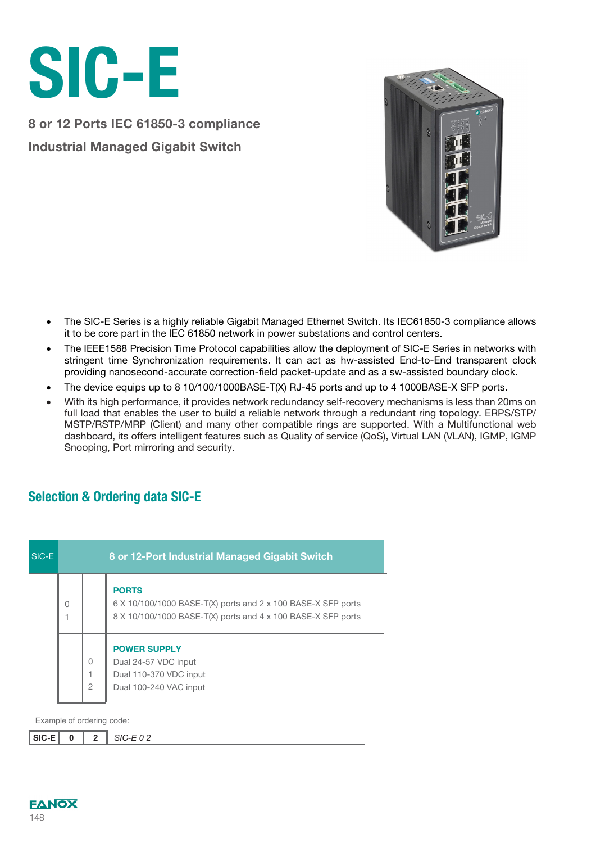

8 or 12 Ports IEC 61850-3 compliance Industrial Managed Gigabit Switch



- The SIC-E Series is a highly reliable Gigabit Managed Ethernet Switch. Its IEC61850-3 compliance allows it to be core part in the IEC 61850 network in power substations and control centers.
- The IEEE1588 Precision Time Protocol capabilities allow the deployment of SIC-E Series in networks with stringent time Synchronization requirements. It can act as hw-assisted End-to-End transparent clock providing nanosecond-accurate correction-field packet-update and as a sw-assisted boundary clock.
- The device equips up to 8 10/100/1000BASE-T(X) RJ-45 ports and up to 4 1000BASE-X SFP ports.
- With its high performance, it provides network redundancy self-recovery mechanisms is less than 20ms on full load that enables the user to build a reliable network through a redundant ring topology. ERPS/STP/ MSTP/RSTP/MRP (Client) and many other compatible rings are supported. With a Multifunctional web dashboard, its offers intelligent features such as Quality of service (QoS), Virtual LAN (VLAN), IGMP, IGMP Snooping, Port mirroring and security.

## Selection & Ordering data SIC-E

| SIC-E | 8 or 12-Port Industrial Managed Gigabit Switch |                            |                                                                                                                                              |  |  |  |  |
|-------|------------------------------------------------|----------------------------|----------------------------------------------------------------------------------------------------------------------------------------------|--|--|--|--|
|       | O                                              |                            | <b>PORTS</b><br>6 X 10/100/1000 BASE-T(X) ports and 2 x 100 BASE-X SFP ports<br>8 X 10/100/1000 BASE-T(X) ports and 4 x 100 BASE-X SFP ports |  |  |  |  |
|       |                                                | $\Omega$<br>$\mathfrak{D}$ | <b>POWER SUPPLY</b><br>Dual 24-57 VDC input<br>Dual 110-370 VDC input<br>Dual 100-240 VAC input                                              |  |  |  |  |

Example of ordering code:

| $\overline{\phantom{a}}$ SIC-F<br>טוט ו<br>$\overline{\phantom{0}}$ |  |  | $\sim$ $\sim$<br>``<br>$\sim$ $-$<br>- - - |
|---------------------------------------------------------------------|--|--|--------------------------------------------|
|---------------------------------------------------------------------|--|--|--------------------------------------------|